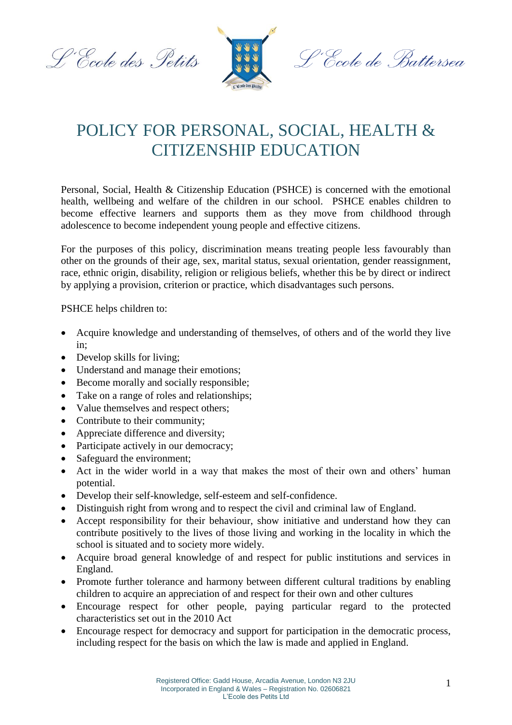L'Ecole des Petits



L'École de Battersea

# POLICY FOR PERSONAL, SOCIAL, HEALTH & CITIZENSHIP EDUCATION

Personal, Social, Health & Citizenship Education (PSHCE) is concerned with the emotional health, wellbeing and welfare of the children in our school. PSHCE enables children to become effective learners and supports them as they move from childhood through adolescence to become independent young people and effective citizens.

For the purposes of this policy, discrimination means treating people less favourably than other on the grounds of their age, sex, marital status, sexual orientation, gender reassignment, race, ethnic origin, disability, religion or religious beliefs, whether this be by direct or indirect by applying a provision, criterion or practice, which disadvantages such persons.

PSHCE helps children to:

- Acquire knowledge and understanding of themselves, of others and of the world they live in;
- Develop skills for living;
- Understand and manage their emotions;
- Become morally and socially responsible;
- Take on a range of roles and relationships;
- Value themselves and respect others:
- Contribute to their community;
- Appreciate difference and diversity;
- Participate actively in our democracy;
- Safeguard the environment:
- Act in the wider world in a way that makes the most of their own and others' human potential.
- Develop their self-knowledge, self-esteem and self-confidence.
- Distinguish right from wrong and to respect the civil and criminal law of England.
- Accept responsibility for their behaviour, show initiative and understand how they can contribute positively to the lives of those living and working in the locality in which the school is situated and to society more widely.
- Acquire broad general knowledge of and respect for public institutions and services in England.
- Promote further tolerance and harmony between different cultural traditions by enabling children to acquire an appreciation of and respect for their own and other cultures
- Encourage respect for other people, paying particular regard to the protected characteristics set out in the 2010 Act
- Encourage respect for democracy and support for participation in the democratic process, including respect for the basis on which the law is made and applied in England.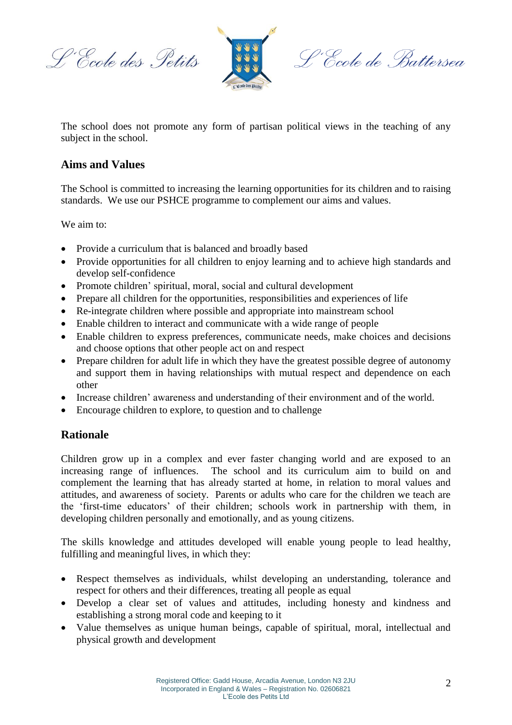L'Ecole des Petits



L'Ecole de Battersea

The school does not promote any form of partisan political views in the teaching of any subject in the school.

# **Aims and Values**

The School is committed to increasing the learning opportunities for its children and to raising standards. We use our PSHCE programme to complement our aims and values.

We aim to:

- Provide a curriculum that is balanced and broadly based
- Provide opportunities for all children to enjoy learning and to achieve high standards and develop self-confidence
- Promote children' spiritual, moral, social and cultural development
- Prepare all children for the opportunities, responsibilities and experiences of life
- Re-integrate children where possible and appropriate into mainstream school
- Enable children to interact and communicate with a wide range of people
- Enable children to express preferences, communicate needs, make choices and decisions and choose options that other people act on and respect
- Prepare children for adult life in which they have the greatest possible degree of autonomy and support them in having relationships with mutual respect and dependence on each other
- Increase children' awareness and understanding of their environment and of the world.
- Encourage children to explore, to question and to challenge

### **Rationale**

Children grow up in a complex and ever faster changing world and are exposed to an increasing range of influences. The school and its curriculum aim to build on and complement the learning that has already started at home, in relation to moral values and attitudes, and awareness of society. Parents or adults who care for the children we teach are the 'first-time educators' of their children; schools work in partnership with them, in developing children personally and emotionally, and as young citizens.

The skills knowledge and attitudes developed will enable young people to lead healthy, fulfilling and meaningful lives, in which they:

- Respect themselves as individuals, whilst developing an understanding, tolerance and respect for others and their differences, treating all people as equal
- Develop a clear set of values and attitudes, including honesty and kindness and establishing a strong moral code and keeping to it
- Value themselves as unique human beings, capable of spiritual, moral, intellectual and physical growth and development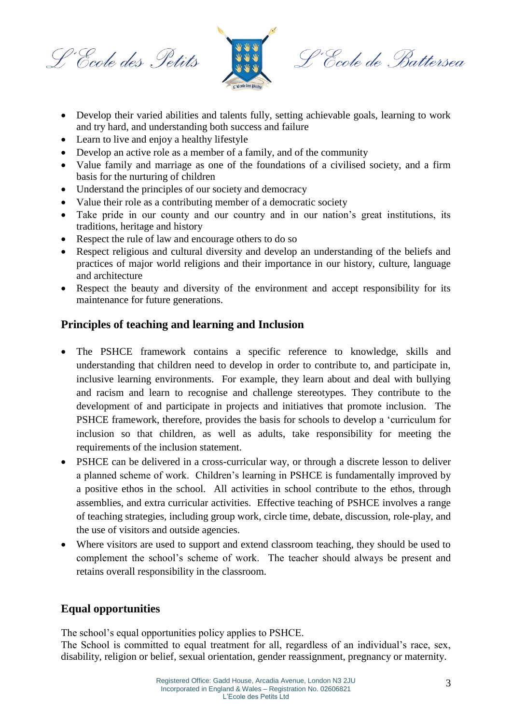L'Ecole des Petits



L'Ecole de Battersea

- Develop their varied abilities and talents fully, setting achievable goals, learning to work and try hard, and understanding both success and failure
- Learn to live and enjoy a healthy lifestyle
- Develop an active role as a member of a family, and of the community
- Value family and marriage as one of the foundations of a civilised society, and a firm basis for the nurturing of children
- Understand the principles of our society and democracy
- Value their role as a contributing member of a democratic society
- Take pride in our county and our country and in our nation's great institutions, its traditions, heritage and history
- Respect the rule of law and encourage others to do so
- Respect religious and cultural diversity and develop an understanding of the beliefs and practices of major world religions and their importance in our history, culture, language and architecture
- Respect the beauty and diversity of the environment and accept responsibility for its maintenance for future generations.

# **Principles of teaching and learning and Inclusion**

- The PSHCE framework contains a specific reference to knowledge, skills and understanding that children need to develop in order to contribute to, and participate in, inclusive learning environments. For example, they learn about and deal with bullying and racism and learn to recognise and challenge stereotypes. They contribute to the development of and participate in projects and initiatives that promote inclusion. The PSHCE framework, therefore, provides the basis for schools to develop a 'curriculum for inclusion so that children, as well as adults, take responsibility for meeting the requirements of the inclusion statement.
- PSHCE can be delivered in a cross-curricular way, or through a discrete lesson to deliver a planned scheme of work. Children's learning in PSHCE is fundamentally improved by a positive ethos in the school. All activities in school contribute to the ethos, through assemblies, and extra curricular activities. Effective teaching of PSHCE involves a range of teaching strategies, including group work, circle time, debate, discussion, role-play, and the use of visitors and outside agencies.
- Where visitors are used to support and extend classroom teaching, they should be used to complement the school's scheme of work. The teacher should always be present and retains overall responsibility in the classroom.

### **Equal opportunities**

The school's equal opportunities policy applies to PSHCE.

The School is committed to equal treatment for all, regardless of an individual's race, sex, disability, religion or belief, sexual orientation, gender reassignment, pregnancy or maternity.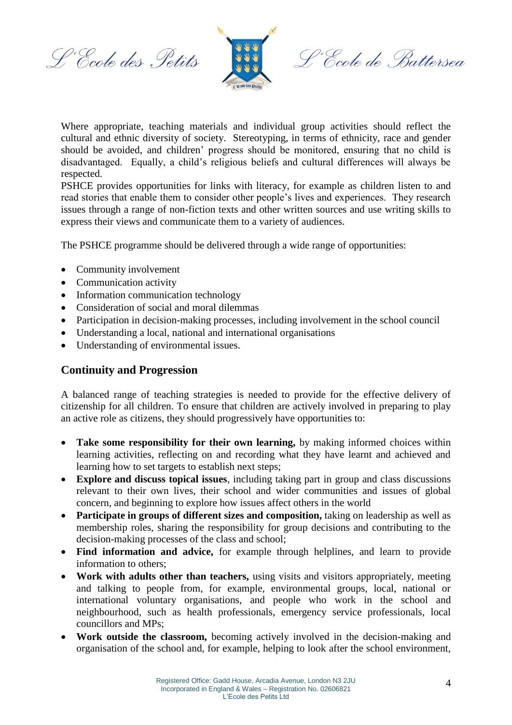L'Ecole des Petits



<sup>o.</sup>Ccole de Battersea

Where appropriate, teaching materials and individual group activities should reflect the cultural and ethnic diversity of society. Stereotyping, in terms of ethnicity, race and gender should be avoided, and children' progress should be monitored, ensuring that no child is disadvantaged. Equally, a child's religious beliefs and cultural differences will always be respected.

PSHCE provides opportunities for links with literacy, for example as children listen to and read stories that enable them to consider other people's lives and experiences. They research issues through a range of non-fiction texts and other written sources and use writing skills to express their views and communicate them to a variety of audiences.

The PSHCE programme should be delivered through a wide range of opportunities:

- Community involvement
- Communication activity
- Information communication technology
- Consideration of social and moral dilemmas
- Participation in decision-making processes, including involvement in the school council
- Understanding a local, national and international organisations
- Understanding of environmental issues.

### **Continuity and Progression**

A balanced range of teaching strategies is needed to provide for the effective delivery of citizenship for all children. To ensure that children are actively involved in preparing to play an active role as citizens, they should progressively have opportunities to:

- **Take some responsibility for their own learning,** by making informed choices within learning activities, reflecting on and recording what they have learnt and achieved and learning how to set targets to establish next steps;
- **Explore and discuss topical issues**, including taking part in group and class discussions relevant to their own lives, their school and wider communities and issues of global concern, and beginning to explore how issues affect others in the world
- **Participate in groups of different sizes and composition,** taking on leadership as well as membership roles, sharing the responsibility for group decisions and contributing to the decision-making processes of the class and school;
- **Find information and advice,** for example through helplines, and learn to provide information to others;
- **Work with adults other than teachers,** using visits and visitors appropriately, meeting and talking to people from, for example, environmental groups, local, national or international voluntary organisations, and people who work in the school and neighbourhood, such as health professionals, emergency service professionals, local councillors and MPs;
- **Work outside the classroom,** becoming actively involved in the decision-making and organisation of the school and, for example, helping to look after the school environment,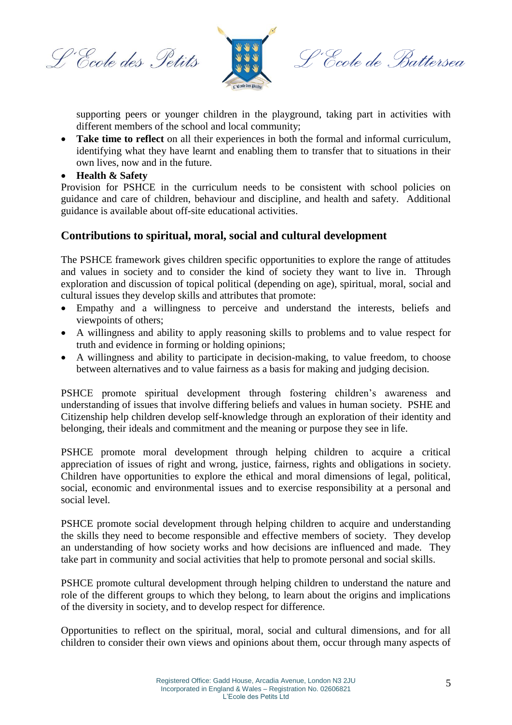L'Ecole des Petits



<sup>o.</sup>Ccole de Battersea

supporting peers or younger children in the playground, taking part in activities with different members of the school and local community;

- **Take time to reflect** on all their experiences in both the formal and informal curriculum, identifying what they have learnt and enabling them to transfer that to situations in their own lives, now and in the future.
- **Health & Safety**

Provision for PSHCE in the curriculum needs to be consistent with school policies on guidance and care of children, behaviour and discipline, and health and safety. Additional guidance is available about off-site educational activities.

# **Contributions to spiritual, moral, social and cultural development**

The PSHCE framework gives children specific opportunities to explore the range of attitudes and values in society and to consider the kind of society they want to live in. Through exploration and discussion of topical political (depending on age), spiritual, moral, social and cultural issues they develop skills and attributes that promote:

- Empathy and a willingness to perceive and understand the interests, beliefs and viewpoints of others;
- A willingness and ability to apply reasoning skills to problems and to value respect for truth and evidence in forming or holding opinions;
- A willingness and ability to participate in decision-making, to value freedom, to choose between alternatives and to value fairness as a basis for making and judging decision.

PSHCE promote spiritual development through fostering children's awareness and understanding of issues that involve differing beliefs and values in human society. PSHE and Citizenship help children develop self-knowledge through an exploration of their identity and belonging, their ideals and commitment and the meaning or purpose they see in life.

PSHCE promote moral development through helping children to acquire a critical appreciation of issues of right and wrong, justice, fairness, rights and obligations in society. Children have opportunities to explore the ethical and moral dimensions of legal, political, social, economic and environmental issues and to exercise responsibility at a personal and social level.

PSHCE promote social development through helping children to acquire and understanding the skills they need to become responsible and effective members of society. They develop an understanding of how society works and how decisions are influenced and made. They take part in community and social activities that help to promote personal and social skills.

PSHCE promote cultural development through helping children to understand the nature and role of the different groups to which they belong, to learn about the origins and implications of the diversity in society, and to develop respect for difference.

Opportunities to reflect on the spiritual, moral, social and cultural dimensions, and for all children to consider their own views and opinions about them, occur through many aspects of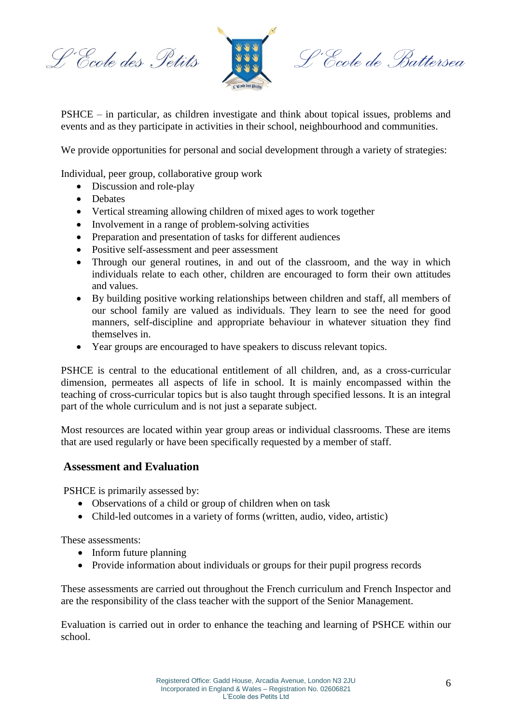L'Ecole des Petits



L'École de Battersea

PSHCE – in particular, as children investigate and think about topical issues, problems and events and as they participate in activities in their school, neighbourhood and communities.

We provide opportunities for personal and social development through a variety of strategies:

Individual, peer group, collaborative group work

- Discussion and role-play
- Debates
- Vertical streaming allowing children of mixed ages to work together
- Involvement in a range of problem-solving activities
- Preparation and presentation of tasks for different audiences
- Positive self-assessment and peer assessment
- Through our general routines, in and out of the classroom, and the way in which individuals relate to each other, children are encouraged to form their own attitudes and values.
- By building positive working relationships between children and staff, all members of our school family are valued as individuals. They learn to see the need for good manners, self-discipline and appropriate behaviour in whatever situation they find themselves in.
- Year groups are encouraged to have speakers to discuss relevant topics.

PSHCE is central to the educational entitlement of all children, and, as a cross-curricular dimension, permeates all aspects of life in school. It is mainly encompassed within the teaching of cross-curricular topics but is also taught through specified lessons. It is an integral part of the whole curriculum and is not just a separate subject.

Most resources are located within year group areas or individual classrooms. These are items that are used regularly or have been specifically requested by a member of staff.

#### **Assessment and Evaluation**

PSHCE is primarily assessed by:

- Observations of a child or group of children when on task
- Child-led outcomes in a variety of forms (written, audio, video, artistic)

These assessments:

- Inform future planning
- Provide information about individuals or groups for their pupil progress records

These assessments are carried out throughout the French curriculum and French Inspector and are the responsibility of the class teacher with the support of the Senior Management.

Evaluation is carried out in order to enhance the teaching and learning of PSHCE within our school.